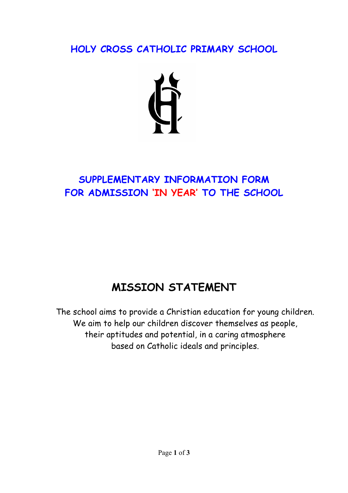**HOLY CROSS CATHOLIC PRIMARY SCHOOL**



## **SUPPLEMENTARY INFORMATION FORM FOR ADMISSION 'IN YEAR' TO THE SCHOOL**

## **MISSION STATEMENT**

The school aims to provide a Christian education for young children. We aim to help our children discover themselves as people, their aptitudes and potential, in a caring atmosphere based on Catholic ideals and principles.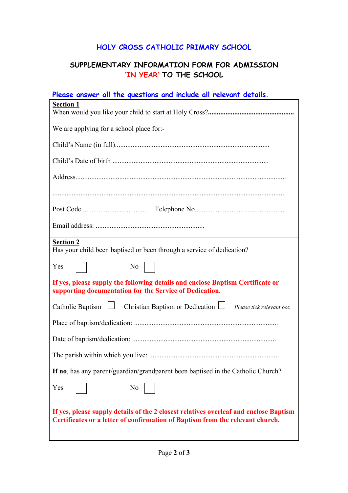## **HOLY CROSS CATHOLIC PRIMARY SCHOOL**

## **SUPPLEMENTARY INFORMATION FORM FOR ADMISSION 'IN YEAR' TO THE SCHOOL**

| Please answer all the questions and include all relevant details.                                                                                                      |
|------------------------------------------------------------------------------------------------------------------------------------------------------------------------|
| <b>Section 1</b>                                                                                                                                                       |
| We are applying for a school place for:-                                                                                                                               |
|                                                                                                                                                                        |
|                                                                                                                                                                        |
|                                                                                                                                                                        |
|                                                                                                                                                                        |
|                                                                                                                                                                        |
|                                                                                                                                                                        |
| <b>Section 2</b><br>Has your child been baptised or been through a service of dedication?                                                                              |
| N <sub>0</sub><br>Yes                                                                                                                                                  |
| If yes, please supply the following details and enclose Baptism Certificate or<br>supporting documentation for the Service of Dedication.                              |
| Catholic Baptism $\Box$ Christian Baptism or Dedication $\Box$ Please tick relevant box                                                                                |
|                                                                                                                                                                        |
|                                                                                                                                                                        |
|                                                                                                                                                                        |
| If no, has any parent/guardian/grandparent been baptised in the Catholic Church?                                                                                       |
| Yes<br>N <sub>0</sub>                                                                                                                                                  |
| If yes, please supply details of the 2 closest relatives overleaf and enclose Baptism<br>Certificates or a letter of confirmation of Baptism from the relevant church. |